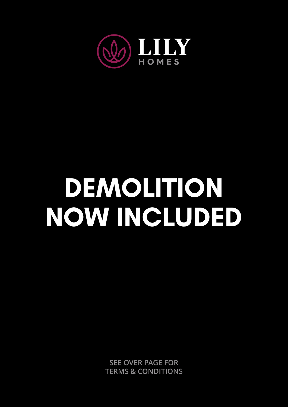

## **DEMOLITION NOW INCLUDED**

**SEE OVER PAGE FOR TERMS & CONDITIONS**